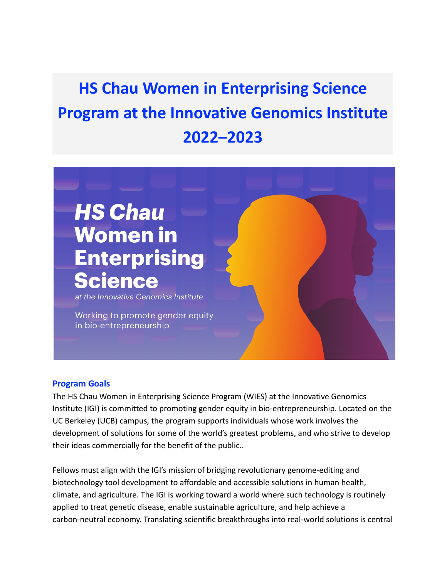# **HS Chau Women in Enterprising Science Program at the Innovative Genomics Institute 2022–2023**

# **HS Chau Women in Enterprising Science**

at the Innovative Genomics Institute

Working to promote gender equity in bio-entrepreneurship

#### **Program Goals**

The HS Chau Women in Enterprising Science Program (WIES) at the Innovative Genomics Institute (IGI) is committed to promoting gender equity in bio-entrepreneurship. Located on the UC Berkeley (UCB) campus, the program supports individuals whose work involves the development of solutions for some of the world's greatest problems, and who strive to develop their ideas commercially for the benefit of the public..

Fellows must align with the IGI's mission of bridging revolutionary genome-editing and biotechnology tool development to affordable and accessible solutions in human health, climate, and agriculture. The IGI is working toward a world where such technology is routinely applied to treat genetic disease, enable sustainable agriculture, and help achieve a carbon-neutral economy. Translating scientific breakthroughs into real-world solutions is central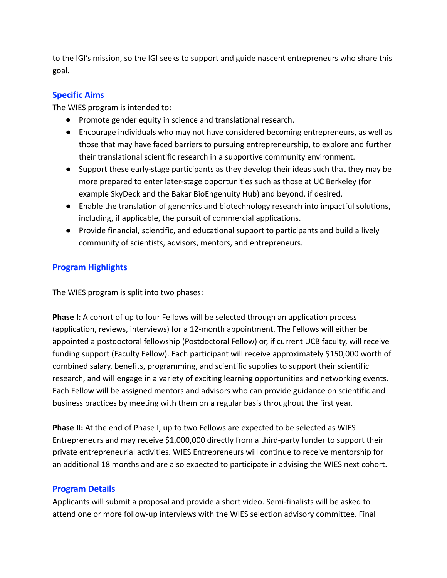to the IGI's mission, so the IGI seeks to support and guide nascent entrepreneurs who share this goal.

# **Specific Aims**

The WIES program is intended to:

- Promote gender equity in science and translational research.
- Encourage individuals who may not have considered becoming entrepreneurs, as well as those that may have faced barriers to pursuing entrepreneurship, to explore and further their translational scientific research in a supportive community environment.
- Support these early-stage participants as they develop their ideas such that they may be more prepared to enter later-stage opportunities such as those at UC Berkeley (for example SkyDeck and the Bakar BioEngenuity Hub) and beyond, if desired.
- Enable the translation of genomics and biotechnology research into impactful solutions, including, if applicable, the pursuit of commercial applications.
- Provide financial, scientific, and educational support to participants and build a lively community of scientists, advisors, mentors, and entrepreneurs.

# **Program Highlights**

The WIES program is split into two phases:

**Phase I:** A cohort of up to four Fellows will be selected through an application process (application, reviews, interviews) for a 12-month appointment. The Fellows will either be appointed a postdoctoral fellowship (Postdoctoral Fellow) or, if current UCB faculty, will receive funding support (Faculty Fellow). Each participant will receive approximately \$150,000 worth of combined salary, benefits, programming, and scientific supplies to support their scientific research, and will engage in a variety of exciting learning opportunities and networking events. Each Fellow will be assigned mentors and advisors who can provide guidance on scientific and business practices by meeting with them on a regular basis throughout the first year.

**Phase II:** At the end of Phase I, up to two Fellows are expected to be selected as WIES Entrepreneurs and may receive \$1,000,000 directly from a third-party funder to support their private entrepreneurial activities. WIES Entrepreneurs will continue to receive mentorship for an additional 18 months and are also expected to participate in advising the WIES next cohort.

## **Program Details**

Applicants will submit a proposal and provide a short video. Semi-finalists will be asked to attend one or more follow-up interviews with the WIES selection advisory committee. Final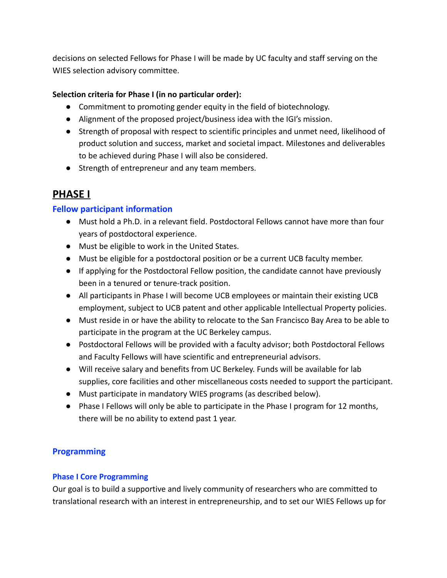decisions on selected Fellows for Phase I will be made by UC faculty and staff serving on the WIES selection advisory committee.

## **Selection criteria for Phase I (in no particular order):**

- Commitment to promoting gender equity in the field of biotechnology.
- Alignment of the proposed project/business idea with the IGI's mission.
- Strength of proposal with respect to scientific principles and unmet need, likelihood of product solution and success, market and societal impact. Milestones and deliverables to be achieved during Phase I will also be considered.
- Strength of entrepreneur and any team members.

# **PHASE I**

# **Fellow participant information**

- Must hold a Ph.D. in a relevant field. Postdoctoral Fellows cannot have more than four years of postdoctoral experience.
- Must be eligible to work in the United States.
- Must be eligible for a postdoctoral position or be a current UCB faculty member.
- If applying for the Postdoctoral Fellow position, the candidate cannot have previously been in a tenured or tenure-track position.
- All participants in Phase I will become UCB employees or maintain their existing UCB employment, subject to UCB patent and other applicable Intellectual Property policies.
- Must reside in or have the ability to relocate to the San Francisco Bay Area to be able to participate in the program at the UC Berkeley campus.
- Postdoctoral Fellows will be provided with a faculty advisor; both Postdoctoral Fellows and Faculty Fellows will have scientific and entrepreneurial advisors.
- Will receive salary and benefits from UC Berkeley. Funds will be available for lab supplies, core facilities and other miscellaneous costs needed to support the participant.
- Must participate in mandatory WIES programs (as described below).
- Phase I Fellows will only be able to participate in the Phase I program for 12 months, there will be no ability to extend past 1 year.

# **Programming**

# **Phase I Core Programming**

Our goal is to build a supportive and lively community of researchers who are committed to translational research with an interest in entrepreneurship, and to set our WIES Fellows up for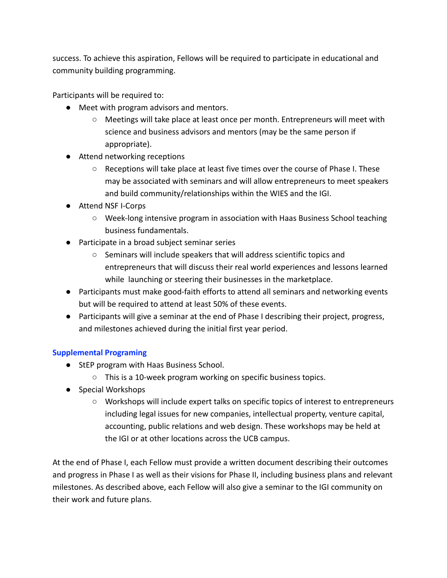success. To achieve this aspiration, Fellows will be required to participate in educational and community building programming.

Participants will be required to:

- Meet with program advisors and mentors.
	- Meetings will take place at least once per month. Entrepreneurs will meet with science and business advisors and mentors (may be the same person if appropriate).
- Attend networking receptions
	- $\circ$  Receptions will take place at least five times over the course of Phase I. These may be associated with seminars and will allow entrepreneurs to meet speakers and build community/relationships within the WIES and the IGI.
- Attend NSF I-Corps
	- Week-long intensive program in association with Haas Business School teaching business fundamentals.
- Participate in a broad subject seminar series
	- Seminars will include speakers that will address scientific topics and entrepreneurs that will discuss their real world experiences and lessons learned while launching or steering their businesses in the marketplace.
- Participants must make good-faith efforts to attend all seminars and networking events but will be required to attend at least 50% of these events.
- Participants will give a seminar at the end of Phase I describing their project, progress, and milestones achieved during the initial first year period.

## **Supplemental Programing**

- StEP program with Haas Business School.
	- This is a 10-week program working on specific business topics.
- Special Workshops
	- Workshops will include expert talks on specific topics of interest to entrepreneurs including legal issues for new companies, intellectual property, venture capital, accounting, public relations and web design. These workshops may be held at the IGI or at other locations across the UCB campus.

At the end of Phase I, each Fellow must provide a written document describing their outcomes and progress in Phase I as well as their visions for Phase II, including business plans and relevant milestones. As described above, each Fellow will also give a seminar to the IGI community on their work and future plans.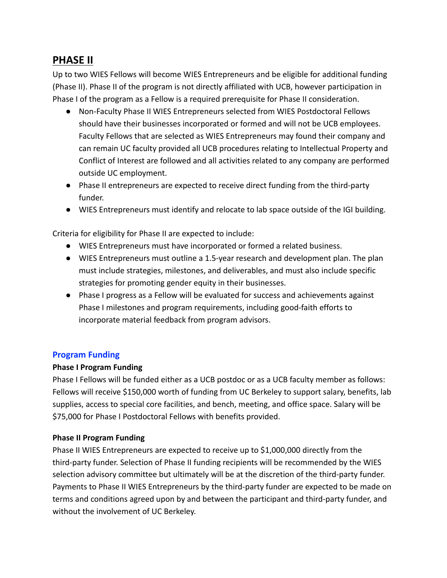# **PHASE II**

Up to two WIES Fellows will become WIES Entrepreneurs and be eligible for additional funding (Phase II). Phase II of the program is not directly affiliated with UCB, however participation in Phase I of the program as a Fellow is a required prerequisite for Phase II consideration.

- Non-Faculty Phase II WIES Entrepreneurs selected from WIES Postdoctoral Fellows should have their businesses incorporated or formed and will not be UCB employees. Faculty Fellows that are selected as WIES Entrepreneurs may found their company and can remain UC faculty provided all UCB procedures relating to Intellectual Property and Conflict of Interest are followed and all activities related to any company are performed outside UC employment.
- Phase II entrepreneurs are expected to receive direct funding from the third-party funder.
- WIES Entrepreneurs must identify and relocate to lab space outside of the IGI building.

Criteria for eligibility for Phase II are expected to include:

- WIES Entrepreneurs must have incorporated or formed a related business.
- WIES Entrepreneurs must outline a 1.5-year research and development plan. The plan must include strategies, milestones, and deliverables, and must also include specific strategies for promoting gender equity in their businesses.
- Phase I progress as a Fellow will be evaluated for success and achievements against Phase I milestones and program requirements, including good-faith efforts to incorporate material feedback from program advisors.

## **Program Funding**

## **Phase I Program Funding**

Phase I Fellows will be funded either as a UCB postdoc or as a UCB faculty member as follows: Fellows will receive \$150,000 worth of funding from UC Berkeley to support salary, benefits, lab supplies, access to special core facilities, and bench, meeting, and office space. Salary will be \$75,000 for Phase I Postdoctoral Fellows with benefits provided.

## **Phase II Program Funding**

Phase II WIES Entrepreneurs are expected to receive up to \$1,000,000 directly from the third-party funder. Selection of Phase II funding recipients will be recommended by the WIES selection advisory committee but ultimately will be at the discretion of the third-party funder. Payments to Phase II WIES Entrepreneurs by the third-party funder are expected to be made on terms and conditions agreed upon by and between the participant and third-party funder, and without the involvement of UC Berkeley.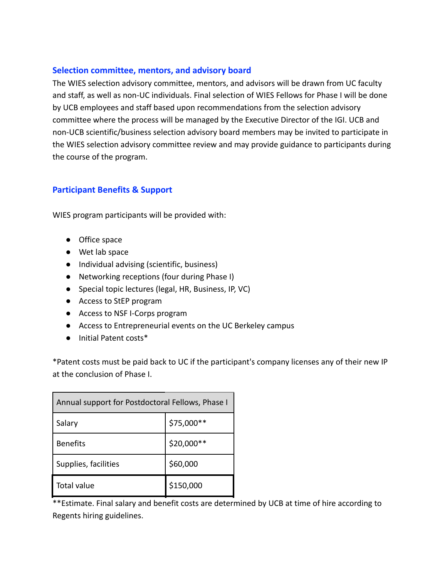#### **Selection committee, mentors, and advisory board**

The WIES selection advisory committee, mentors, and advisors will be drawn from UC faculty and staff, as well as non-UC individuals. Final selection of WIES Fellows for Phase I will be done by UCB employees and staff based upon recommendations from the selection advisory committee where the process will be managed by the Executive Director of the IGI. UCB and non-UCB scientific/business selection advisory board members may be invited to participate in the WIES selection advisory committee review and may provide guidance to participants during the course of the program.

## **Participant Benefits & Support**

WIES program participants will be provided with:

- Office space
- Wet lab space
- Individual advising (scientific, business)
- Networking receptions (four during Phase I)
- Special topic lectures (legal, HR, Business, IP, VC)
- Access to StEP program
- Access to NSF I-Corps program
- Access to Entrepreneurial events on the UC Berkeley campus
- Initial Patent costs\*

\*Patent costs must be paid back to UC if the participant's company licenses any of their new IP at the conclusion of Phase I.

| Annual support for Postdoctoral Fellows, Phase I |            |
|--------------------------------------------------|------------|
| Salary                                           | \$75,000** |
| <b>Benefits</b>                                  | \$20,000** |
| Supplies, facilities                             | \$60,000   |
| <b>Total value</b>                               | \$150,000  |

\*\*Estimate. Final salary and benefit costs are determined by UCB at time of hire according to Regents hiring guidelines.